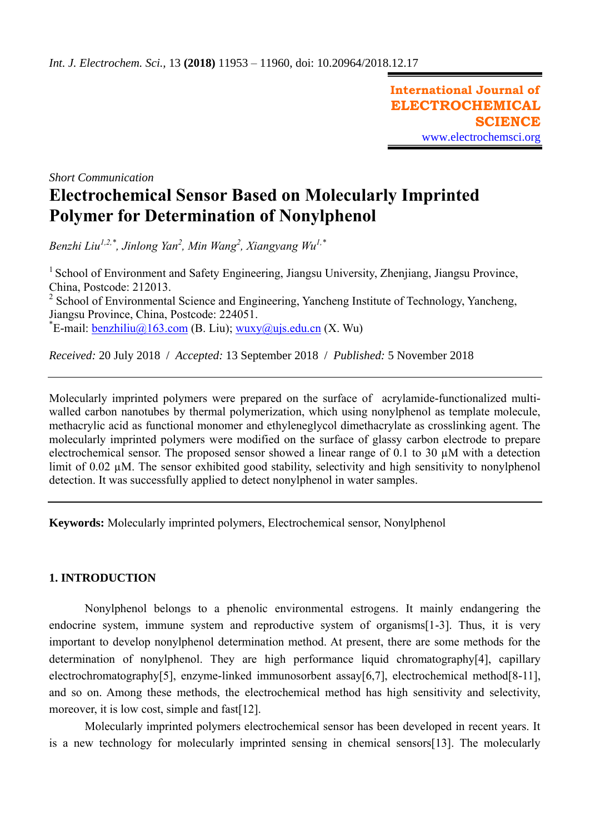**International Journal of ELECTROCHEMICAL SCIENCE** [www.electrochemsci.org](http://www.electrochemsci.org/)

*Short Communication*

# **Electrochemical Sensor Based on Molecularly Imprinted Polymer for Determination of Nonylphenol**

*Benzhi Liu1,2,\* , Jinlong Yan<sup>2</sup> , Min Wang<sup>2</sup> , Xiangyang Wu1,\**

<sup>1</sup> School of Environment and Safety Engineering, Jiangsu University, Zhenjiang, Jiangsu Province, China, Postcode: 212013.  $2$  School of Environmental Science and Engineering, Yancheng Institute of Technology, Yancheng, Jiangsu Province, China, Postcode: 224051.

<sup>\*</sup>E-mail: **benzhiliu@163.com** (B. Liu); [wuxy@ujs.edu.cn](mailto:wuxy@ujs.edu.cn) (X. Wu)

*Received:* 20 July 2018/ *Accepted:* 13 September 2018 / *Published:* 5 November 2018

Molecularly imprinted polymers were prepared on the surface of acrylamide-functionalized multiwalled carbon nanotubes by thermal polymerization, which using nonylphenol as template molecule, methacrylic acid as functional monomer and ethyleneglycol dimethacrylate as crosslinking agent. The molecularly imprinted polymers were modified on the surface of glassy carbon electrode to prepare electrochemical sensor. The proposed sensor showed a linear range of 0.1 to 30 µM with a detection limit of 0.02  $\mu$ M. The sensor exhibited good stability, selectivity and high sensitivity to nonylphenol detection. It was successfully applied to detect nonylphenol in water samples.

**Keywords:** Molecularly imprinted polymers, Electrochemical sensor, Nonylphenol

# **1. INTRODUCTION**

Nonylphenol belongs to a phenolic environmental estrogens. It mainly endangering the endocrine system, immune system and reproductive system of organisms[1-3]. Thus, it is very important to develop nonylphenol determination method. At present, there are some methods for the determination of nonylphenol. They are high performance liquid chromatography[4], capillary electrochromatography[5], enzyme-linked immunosorbent assay[6,7], electrochemical method[8-11], and so on. Among these methods, the electrochemical method has high sensitivity and selectivity, moreover, it is low cost, simple and fast[12].

Molecularly imprinted polymers electrochemical sensor has been developed in recent years. It is a new technology for molecularly imprinted sensing in chemical sensors[13]. The molecularly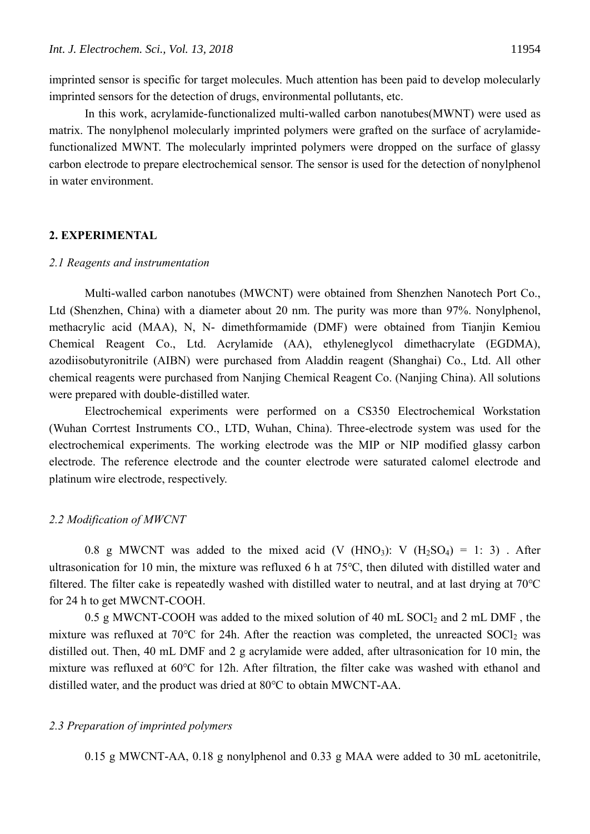imprinted sensor is specific for target molecules. Much attention has been paid to develop molecularly imprinted sensors for the detection of drugs, environmental pollutants, etc.

In this work, acrylamide-functionalized multi-walled carbon nanotubes(MWNT) were used as matrix. The nonylphenol molecularly imprinted polymers were grafted on the surface of acrylamidefunctionalized MWNT. The molecularly imprinted polymers were dropped on the surface of glassy carbon electrode to prepare electrochemical sensor. The sensor is used for the detection of nonylphenol in water environment.

## **2. EXPERIMENTAL**

#### *2.1 Reagents and instrumentation*

Multi-walled carbon nanotubes (MWCNT) were obtained from Shenzhen Nanotech Port Co., Ltd (Shenzhen, China) with a diameter about 20 nm. The purity was more than 97%. Nonylphenol, methacrylic acid (MAA), N, N- dimethformamide (DMF) were obtained from Tianjin Kemiou Chemical Reagent Co., Ltd. Acrylamide (AA), ethyleneglycol dimethacrylate (EGDMA), azodiisobutyronitrile (AIBN) were purchased from Aladdin reagent (Shanghai) Co., Ltd. All other chemical reagents were purchased from Nanjing Chemical Reagent Co. (Nanjing China). All solutions were prepared with double-distilled water.

Electrochemical experiments were performed on a CS350 Electrochemical Workstation (Wuhan Corrtest Instruments CO., LTD, Wuhan, China). Three-electrode system was used for the electrochemical experiments. The working electrode was the MIP or NIP modified glassy carbon electrode. The reference electrode and the counter electrode were saturated calomel electrode and platinum wire electrode, respectively.

#### *2.2 Modification of MWCNT*

0.8 g MWCNT was added to the mixed acid (V  $(HNO<sub>3</sub>)$ : V  $(H<sub>2</sub>SO<sub>4</sub>) = 1$ : 3). After ultrasonication for 10 min, the mixture was refluxed 6 h at 75℃, then diluted with distilled water and filtered. The filter cake is repeatedly washed with distilled water to neutral, and at last drying at 70℃ for 24 h to get MWCNT-COOH.

0.5 g MWCNT-COOH was added to the mixed solution of 40 mL  $SOCl<sub>2</sub>$  and 2 mL DMF, the mixture was refluxed at 70°C for 24h. After the reaction was completed, the unreacted  $SOCl<sub>2</sub>$  was distilled out. Then, 40 mL DMF and 2 g acrylamide were added, after ultrasonication for 10 min, the mixture was refluxed at 60℃ for 12h. After filtration, the filter cake was washed with ethanol and distilled water, and the product was dried at 80℃ to obtain MWCNT-AA.

#### *2.3 Preparation of imprinted polymers*

0.15 g MWCNT-AA, 0.18 g nonylphenol and 0.33 g MAA were added to 30 mL acetonitrile,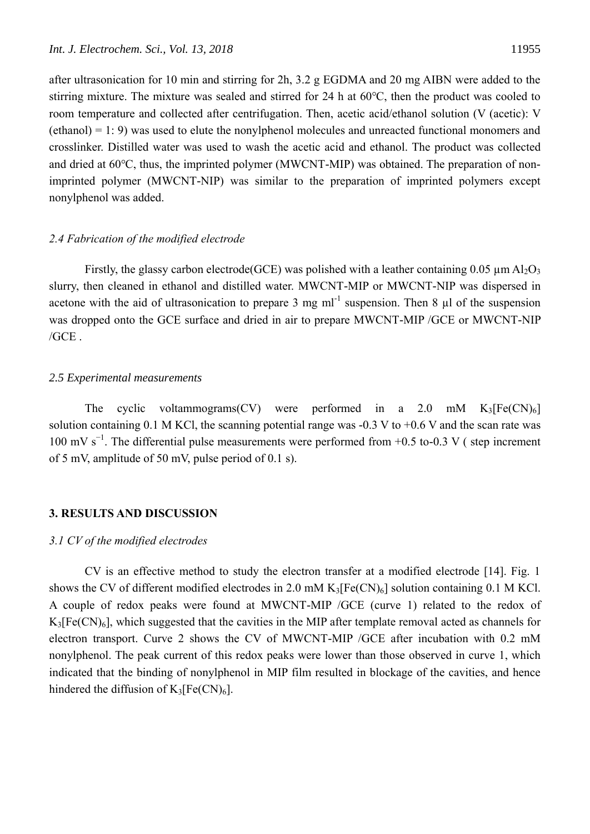after ultrasonication for 10 min and stirring for 2h, 3.2 g EGDMA and 20 mg AIBN were added to the stirring mixture. The mixture was sealed and stirred for 24 h at 60℃, then the product was cooled to room temperature and collected after centrifugation. Then, acetic acid/ethanol solution (V (acetic): V (ethanol) = 1: 9) was used to elute the nonylphenol molecules and unreacted functional monomers and crosslinker. Distilled water was used to wash the acetic acid and ethanol. The product was collected and dried at 60℃, thus, the imprinted polymer (MWCNT-MIP) was obtained. The preparation of nonimprinted polymer (MWCNT-NIP) was similar to the preparation of imprinted polymers except nonylphenol was added.

#### *2.4 Fabrication of the modified electrode*

Firstly, the glassy carbon electrode(GCE) was polished with a leather containing 0.05  $\mu$ m Al<sub>2</sub>O<sub>3</sub> slurry, then cleaned in ethanol and distilled water. MWCNT-MIP or MWCNT-NIP was dispersed in acetone with the aid of ultrasonication to prepare 3 mg ml<sup>-1</sup> suspension. Then 8  $\mu$ l of the suspension was dropped onto the GCE surface and dried in air to prepare MWCNT-MIP /GCE or MWCNT-NIP  $/$ GCE $.$ 

## *2.5 Experimental measurements*

The cyclic voltammograms(CV) were performed in a 2.0 mM  $K_3[Fe(CN)_6]$ solution containing 0.1 M KCl, the scanning potential range was  $-0.3 V$  to  $+0.6 V$  and the scan rate was 100 mV s<sup>-1</sup>. The differential pulse measurements were performed from +0.5 to-0.3 V (step increment of 5 mV, amplitude of 50 mV, pulse period of 0.1 s).

#### **3. RESULTS AND DISCUSSION**

# *3.1 CV of the modified electrodes*

CV is an effective method to study the electron transfer at a modified electrode [14]. Fig. 1 shows the CV of different modified electrodes in 2.0 mM  $K_3[Fe(CN)_6]$  solution containing 0.1 M KCl. A couple of redox peaks were found at MWCNT-MIP /GCE (curve 1) related to the redox of  $K_3[Fe(CN)_6]$ , which suggested that the cavities in the MIP after template removal acted as channels for electron transport. Curve 2 shows the CV of MWCNT-MIP /GCE after incubation with 0.2 mM nonylphenol. The peak current of this redox peaks were lower than those observed in curve 1, which indicated that the binding of nonylphenol in MIP film resulted in blockage of the cavities, and hence hindered the diffusion of  $K_3[Fe(CN)_6]$ .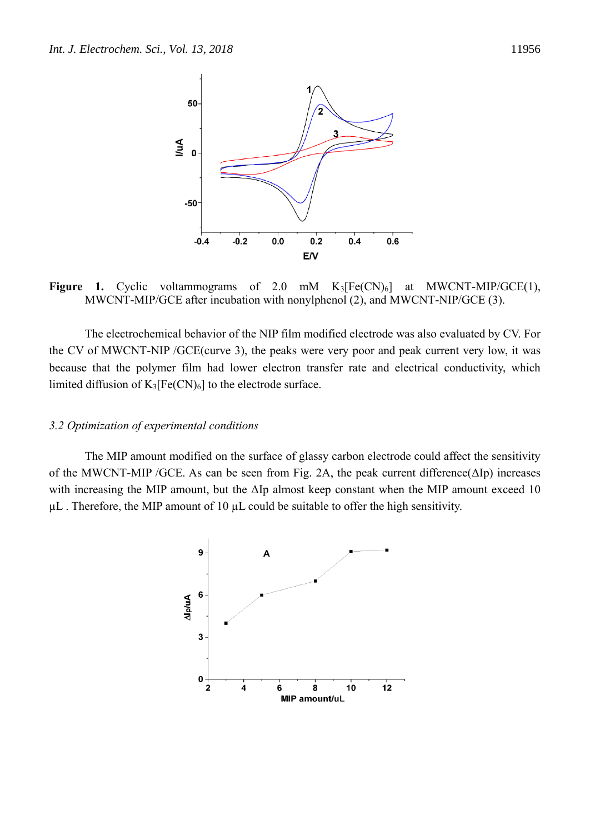

**Figure 1.** Cyclic voltammograms of 2.0 mM  $K_3[Fe(CN)_6]$  at MWCNT-MIP/GCE(1), MWCNT-MIP/GCE after incubation with nonylphenol (2), and MWCNT-NIP/GCE (3).

The electrochemical behavior of the NIP film modified electrode was also evaluated by CV. For the CV of MWCNT-NIP /GCE(curve 3), the peaks were very poor and peak current very low, it was because that the polymer film had lower electron transfer rate and electrical conductivity, which limited diffusion of  $K_3[Fe(CN)_6]$  to the electrode surface.

#### *3.2 Optimization of experimental conditions*

The MIP amount modified on the surface of glassy carbon electrode could affect the sensitivity of the MWCNT-MIP /GCE. As can be seen from Fig. 2A, the peak current difference(ΔIp) increases with increasing the MIP amount, but the ΔIp almost keep constant when the MIP amount exceed 10  $\mu$ L. Therefore, the MIP amount of 10  $\mu$ L could be suitable to offer the high sensitivity.

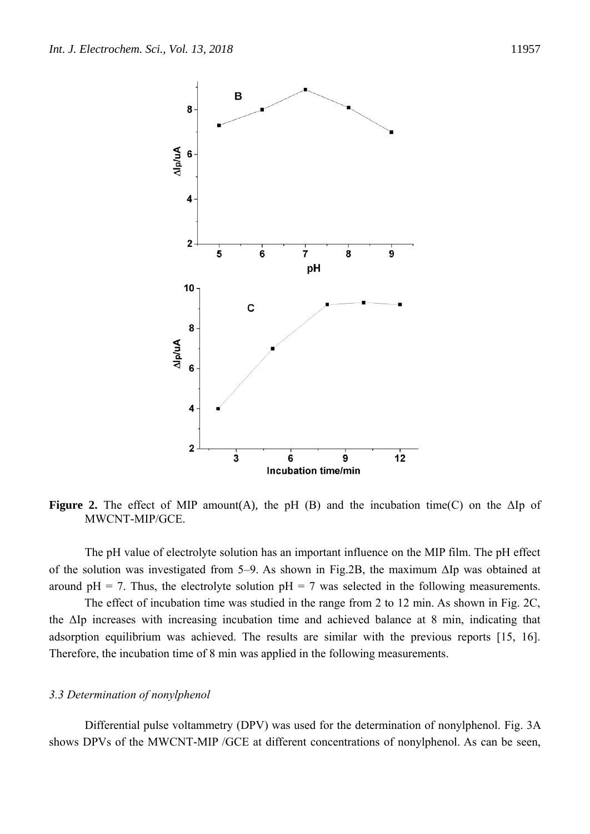

**Figure 2.** The effect of MIP amount(A), the pH (B) and the incubation time(C) on the  $\Delta$ Ip of MWCNT-MIP/GCE.

The pH value of electrolyte solution has an important influence on the MIP film. The pH effect of the solution was investigated from 5–9. As shown in Fig.2B, the maximum ΔIp was obtained at around  $pH = 7$ . Thus, the electrolyte solution  $pH = 7$  was selected in the following measurements.

 The effect of incubation time was studied in the range from 2 to 12 min. As shown in Fig. 2C, the ΔIp increases with increasing incubation time and achieved balance at 8 min, indicating that adsorption equilibrium was achieved. The results are similar with the previous reports [15, 16]. Therefore, the incubation time of 8 min was applied in the following measurements.

#### *3.3 Determination of nonylphenol*

Differential pulse voltammetry (DPV) was used for the determination of nonylphenol. Fig. 3A shows DPVs of the MWCNT-MIP /GCE at different concentrations of nonylphenol. As can be seen,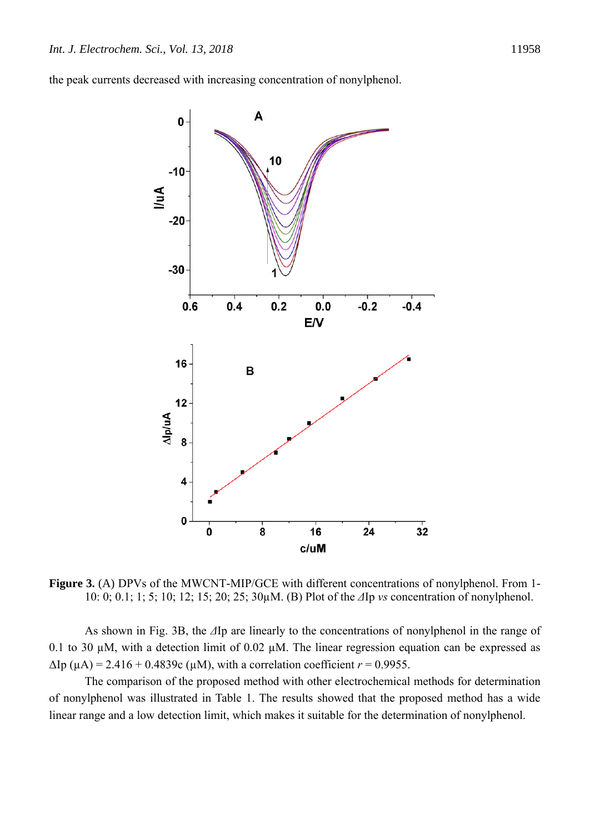the peak currents decreased with increasing concentration of nonylphenol.



**Figure 3.** (A) DPVs of the MWCNT-MIP/GCE with different concentrations of nonylphenol. From 1- 10: 0; 0.1; 1; 5; 10; 12; 15; 20; 25; 30µM. (B) Plot of the *Δ*Ip *vs* concentration of nonylphenol.

As shown in Fig. 3B, the *Δ*Ip are linearly to the concentrations of nonylphenol in the range of 0.1 to 30  $\mu$ M, with a detection limit of 0.02  $\mu$ M. The linear regression equation can be expressed as  $ΔIp (µA) = 2.416 + 0.4839c (µM)$ , with a correlation coefficient *r* = 0.9955.

The comparison of the proposed method with other electrochemical methods for determination of nonylphenol was illustrated in Table 1. The results showed that the proposed method has a wide linear range and a low detection limit, which makes it suitable for the determination of nonylphenol.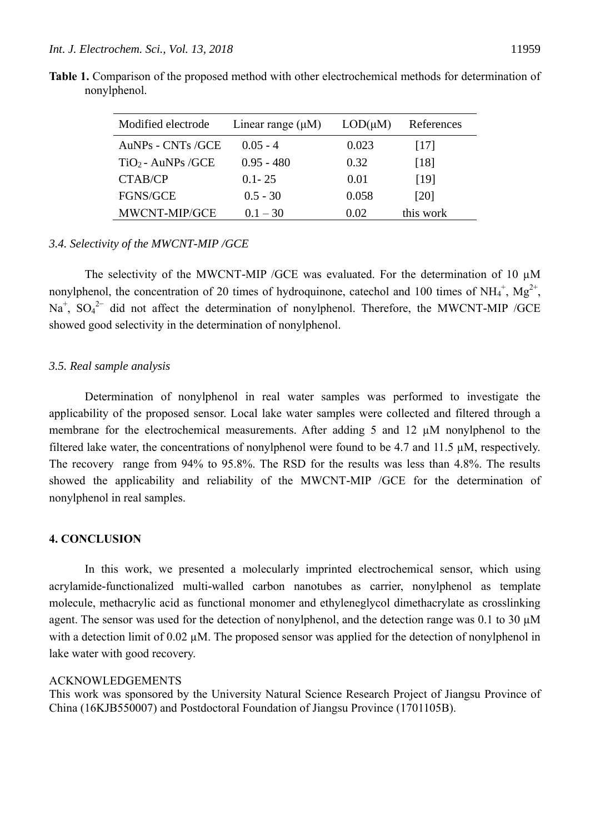**Table 1.** Comparison of the proposed method with other electrochemical methods for determination of

| Modified electrode   | Linear range $(\mu M)$ | $LOD(\mu M)$ | References |  |
|----------------------|------------------------|--------------|------------|--|
| AuNPs - CNTs /GCE    | $0.05 - 4$             | 0.023        | [17]       |  |
| $TiO2 - AuNPs / GCE$ | $0.95 - 480$           | 0.32         | [18]       |  |
| CTAB/CP              | $0.1 - 25$             | 0.01         | [19]       |  |
| <b>FGNS/GCE</b>      | $0.5 - 30$             | 0.058        | [20]       |  |
| MWCNT-MIP/GCE        | $0.1 - 30$             | 0.02         | this work  |  |

## *3.4. Selectivity of the MWCNT-MIP /GCE*

The selectivity of the MWCNT-MIP / GCE was evaluated. For the determination of 10  $\mu$ M nonylphenol, the concentration of 20 times of hydroquinone, catechol and 100 times of NH<sub>4</sub><sup>+</sup>, Mg<sup>2+</sup>,  $Na<sup>+</sup>$ ,  $SO<sub>4</sub><sup>2-</sup>$  did not affect the determination of nonylphenol. Therefore, the MWCNT-MIP /GCE showed good selectivity in the determination of nonylphenol.

## *3.5. Real sample analysis*

Determination of nonylphenol in real water samples was performed to investigate the applicability of the proposed sensor. Local lake water samples were collected and filtered through a membrane for the electrochemical measurements. After adding 5 and 12 µM nonylphenol to the filtered lake water, the concentrations of nonylphenol were found to be 4.7 and 11.5 µM, respectively. The recovery range from 94% to 95.8%. The RSD for the results was less than 4.8%. The results showed the applicability and reliability of the MWCNT-MIP /GCE for the determination of nonylphenol in real samples.

# **4. CONCLUSION**

In this work, we presented a molecularly imprinted electrochemical sensor, which using acrylamide-functionalized multi-walled carbon nanotubes as carrier, nonylphenol as template molecule, methacrylic acid as functional monomer and ethyleneglycol dimethacrylate as crosslinking agent. The sensor was used for the detection of nonylphenol, and the detection range was 0.1 to 30  $\mu$ M with a detection limit of 0.02  $\mu$ M. The proposed sensor was applied for the detection of nonylphenol in lake water with good recovery.

## ACKNOWLEDGEMENTS

This work was sponsored by the University Natural Science Research Project of Jiangsu Province of China (16KJB550007) and Postdoctoral Foundation of Jiangsu Province (1701105B).